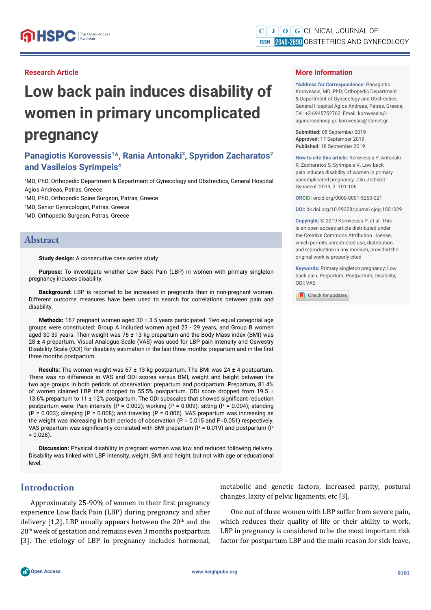## **Research Article**

# **Low back pain induces disability of women in primary uncomplicated pregnancy**

# Panagiotis Korovessis<sup>1\*</sup>, Rania Antonaki<sup>3</sup>, Spyridon Zacharatos<sup>2</sup> **and Vasileios Syrimpeis4**

1 MD, PhD, Orthopedic Department & Department of Gynecology and Obstrectics, General Hospital Agios Andreas, Patras, Greece 2 MD, PhD, Orthopedic Spine Surgeon, Patras, Greece

3 MD, Senior Gynecologist, Patras, Greece

4 MD, Orthopedic Surgeon, Patras, Greece

## **Abstract**

#### **Study design:** A consecutive case series study

**Purpose:** To investigate whether Low Back Pain (LBP) in women with primary singleton pregnancy induces disability.

**Background:** LBP is reported to be increased in pregnants than in non-pregnant women. Different outcome measures have been used to search for correlations between pain and disability.

**Methods:** 167 pregnant women aged 30 ± 3.5 years participated. Two equal categorial age groups were constructed: Group A included women aged 23 - 29 years, and Group B women aged 30-39 years. Their weight was  $76 \pm 13$  kg prepartum and the Body Mass index (BMI) was 28 ± 4 prepartum. Visual Analogue Scale (VAS) was used for LBP pain intensity and Oswestry Disability Scale (ODI) for disability estimation in the last three months prepartum and in the first three months postpartum.

**Results:** The women weight was 67 ± 13 kg postpartum. The BMI was 24 ± 4 postpartum. There was no difference in VAS and ODI scores versus BMI, weight and height between the two age groups in both periods of observation: prepartum and postpartum. Prepartum, 81.4% of women claimed LBP that dropped to 55.5% postpartum. ODI score dropped from 19.5 ± 13.6% prepartum to 11  $\pm$  12% postpartum. The ODI subscales that showed significant reduction postpartum were: Pain intensity (P = 0.002); working (P = 0.009); sitting (P = 0.004); standing  $(P = 0.003)$ ; sleeping  $(P = 0.008)$ ; and traveling  $(P = 0.006)$ . VAS prepartum was increasing as the weight was increasing in both periods of observation (P = 0.015 and P=0.051) respectively. VAS prepartum was significantly correlated with BMI prepartum ( $P = 0.019$ ) and postpartum (P  $= 0.028$ ).

**Discussion:** Physical disability in pregnant women was low and reduced following delivery. Disability was linked with LBP intensity, weight, BMI and height, but not with age or educational level.

## **Introduction**

Approximately 25-90% of women in their first pregnancy experience Low Back Pain (LBP) during pregnancy and after delivery  $[1,2]$ . LBP usually appears between the  $20<sup>th</sup>$  and the 28th week of gestation and remains even 3 months postpartum [3]. The etiology of LBP in pregnancy includes hormonal,

#### **More Information**

**\*Address for Correspondence:** Panagiotis Korovessis, MD, PhD, Orthopedic Department & Department of Gynecology and Obstrectics, General Hospital Agios Andreas, Patras, Greece, Tel: +3-6945752762; Email: korovessis@ agandreashosp.gr; korovessis@otenet.gr

**Submitted:** 05 September 2019 **Approved:** 17 September 2019 **Published:** 18 September 2019

**How to cite this article:** Korovessis P, Antonaki R, Zacharatos S, Syrimpeis V. Low back pain induces disability of women in primary uncomplicated pregnancy. Clin J Obstet Gynaecol. 2019; 2: 101-106.

**ORCID:** orcid.org/0000-0001-5260-021

**DOI:** dx.doi.org/10.29328/journal.cjog.1001029

**Copyright: ©** 2019 Korovessis P, et al. This is an open access article distributed under the Creative Commons Attribution License, which permits unrestricted use, distribution, and reproduction in any medium, provided the original work is properly cited

**Keywords:** Primary singleton pregnancy; Low back pain; Prepartum; Postpartum; Disability; ODI; VAS



metabolic and genetic factors, increased parity, postural changes, laxity of pelvic ligaments, etc [3].

One out of three women with LBP suffer from severe pain, which reduces their quality of life or their ability to work. LBP in pregnancy is considered to be the most important risk factor for postpartum LBP and the main reason for sick leave,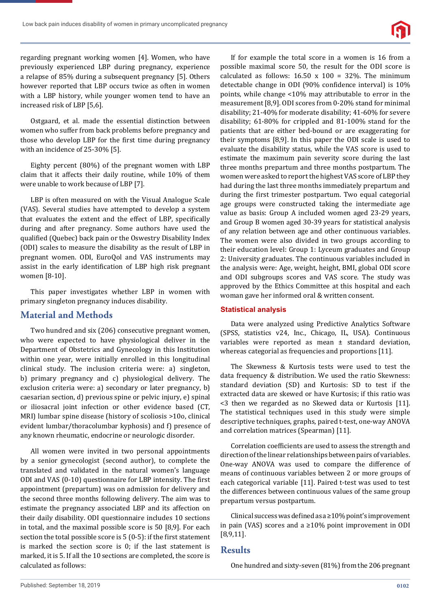

regarding pregnant working women [4]. Women, who have previously experienced LBP during pregnancy, experience a relapse of 85% during a subsequent pregnancy [5]. Others however reported that LBP occurs twice as often in women with a LBP history, while younger women tend to have an increased risk of LBP [5,6].

Ostgaard, et al. made the essential distinction between women who suffer from back problems before pregnancy and those who develop LBP for the first time during pregnancy with an incidence of 25-30% [5].

Eighty percent (80%) of the pregnant women with LBP claim that it affects their daily routine, while 10% of them were unable to work because of LBP [7].

LBP is often measured on with the Visual Analogue Scale (VAS). Several studies have attempted to develop a system that evaluates the extent and the effect of LBP, specifically during and after pregnancy. Some authors have used the qualified (Quebec) back pain or the Oswestry Disability Index (ODI) scales to measure the disability as the result of LBP in pregnant women. ODI, EuroQol and VAS instruments may assist in the early identification of LBP high risk pregnant women [8-10].

This paper investigates whether LBP in women with primary singleton pregnancy induces disability.

# **Material and Methods**

Two hundred and six (206) consecutive pregnant women, who were expected to have physiological deliver in the Department of Obstetrics and Gynecology in this Institution within one year, were initially enrolled in this longitudinal clinical study. The inclusion criteria were: a) singleton, b) primary pregnancy and c) physiological delivery. The exclusion criteria were: a) secondary or later pregnancy, b) caesarian section, d) previous spine or pelvic injury, e) spinal or iliosacral joint infection or other evidence based (CT, MRI) lumbar spine disease (history of scoliosis >10o, clinical evident lumbar/thoracolumbar kyphosis) and f) presence of any known rheumatic, endocrine or neurologic disorder.

All women were invited in two personal appointments by a senior gynecologist (second author), to complete the translated and validated in the natural women's language ODI and VAS (0-10) questionnaire for LBP intensity. The first appointment (prepartum) was on admission for delivery and the second three months following delivery. The aim was to estimate the pregnancy associated LBP and its affection on their daily disability. ODI questionnaire includes 10 sections in total, and the maximal possible score is 50 [8,9]. For each section the total possible score is  $5(0-5)$ : if the first statement is marked the section score is 0; if the last statement is marked, it is 5. If all the 10 sections are completed, the score is calculated as follows:

If for example the total score in a women is 16 from a possible maximal score 50, the result for the ODI score is calculated as follows:  $16.50 \times 100 = 32\%$ . The minimum detectable change in ODI (90% confidence interval) is  $10\%$ points, while change <10% may attributable to error in the measurement [8,9]. ODI scores from 0-20% stand for minimal disability; 21-40% for moderate disability; 41-60% for severe disability; 61-80% for crippled and 81-100% stand for the patients that are either bed-bound or are exaggerating for their symptoms [8,9]. In this paper the ODI scale is used to evaluate the disability status, while the VAS score is used to estimate the maximum pain severity score during the last three months prepartum and three months postpartum. The women were asked to report the highest VAS score of LBP they had during the last three months immediately prepartum and during the ϐirst trimester postpartum. Two equal categorial age groups were constructed taking the intermediate age value as basis: Group A included women aged 23-29 years, and Group B women aged 30-39 years for statistical analysis of any relation between age and other continuous variables. The women were also divided in two groups according to their education level: Group 1: Lyceum graduates and Group 2: University graduates. The continuous variables included in the analysis were: Age, weight, height, BMI, global ODI score and ODI subgroups scores and VAS score. The study was approved by the Ethics Committee at this hospital and each woman gave her informed oral & written consent.

## **Statistical analysis**

Data were analyzed using Predictive Analytics Software (SPSS, statistics v24, Inc., Chicago, IL, USA). Continuous variables were reported as mean ± standard deviation, whereas categorial as frequencies and proportions [11].

The Skewness & Kurtosis tests were used to test the data frequency & distribution. We used the ratio Skewness: standard deviation (SD) and Kurtosis: SD to test if the extracted data are skewed or have Kurtosis; if this ratio was <3 then we regarded as no Skewed data or Kurtosis [11]. The statistical techniques used in this study were simple descriptive techniques, graphs, paired t-test, one-way ANOVA and correlation matrices (Spearman) [11].

Correlation coefficients are used to assess the strength and direction of the linear relationships between pairs of variables. One-way ANOVA was used to compare the difference of means of continuous variables between 2 or more groups of each categorical variable [11]. Paired t-test was used to test the differences between continuous values of the same group prepartum versus postpartum.

Clinical success was defined as  $a \ge 10\%$  point's improvement in pain (VAS) scores and a ≥10% point improvement in ODI [8,9,11].

## **Results**

One hundred and sixty-seven (81%) from the 206 pregnant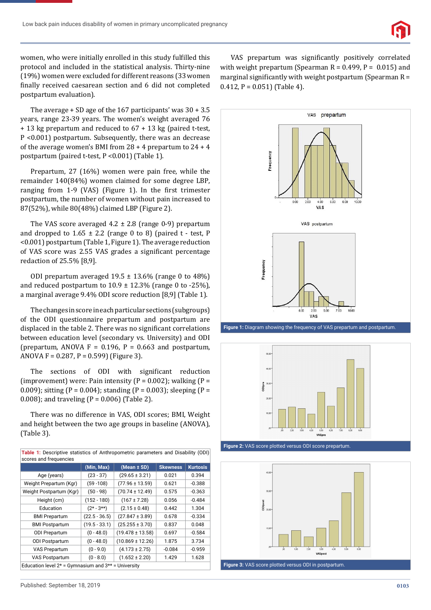

women, who were initially enrolled in this study fulfilled this protocol and included in the statistical analysis. Thirty-nine (19%) women were excluded for different reasons (33 women finally received caesarean section and 6 did not completed postpartum evaluation).

The average + SD age of the 167 participants' was 30 + 3.5 years, range 23-39 years. The women's weight averaged 76 + 13 kg prepartum and reduced to 67 + 13 kg (paired t-test, P <0.001) postpartum. Subsequently, there was an decrease of the average women's BMI from 28 + 4 prepartum to 24 + 4 postpartum (paired t-test, P <0.001) (Table 1).

Prepartum, 27 (16%) women were pain free, while the remainder 140(84%) women claimed for some degree LBP, ranging from 1-9 (VAS) (Figure 1). In the first trimester postpartum, the number of women without pain increased to 87(52%), while 80(48%) claimed LBP (Figure 2).

The VAS score averaged  $4.2 \pm 2.8$  (range 0-9) prepartum and dropped to  $1.65 \pm 2.2$  (range 0 to 8) (paired t - test, P <0.001) postpartum (Table 1, Figure 1). The average reduction of VAS score was 2.55 VAS grades a significant percentage redaction of 25.5% [8,9].

ODI prepartum averaged  $19.5 \pm 13.6\%$  (range 0 to 48%) and reduced postpartum to  $10.9 \pm 12.3\%$  (range 0 to -25%), a marginal average 9.4% ODI score reduction [8,9] (Table 1).

The changes in score in each particular sections (subgroups) of the ODI questionnaire prepartum and postpartum are displaced in the table 2. There was no significant correlations between education level (secondary vs. University) and ODI (prepartum, ANOVA  $F = 0.196$ ,  $P = 0.663$  and postpartum, ANOVA F =  $0.287$ , P =  $0.599$ ) (Figure 3).

The sections of ODI with significant reduction (improvement) were: Pain intensity ( $P = 0.002$ ); walking ( $P =$ 0.009); sitting (P = 0.004); standing (P = 0.003); sleeping (P = 0.008); and traveling (P = 0.006) (Table 2).

There was no difference in VAS, ODI scores; BMI, Weight and height between the two age groups in baseline (ANOVA), (Table 3).

| <b>Table 1:</b> Descriptive statistics of Anthropometric parameters and Disability (ODI)<br>scores and frequencies |                 |                      |                 |                 |  |  |
|--------------------------------------------------------------------------------------------------------------------|-----------------|----------------------|-----------------|-----------------|--|--|
|                                                                                                                    | (Min, Max)      | $(Mean \pm SD)$      | <b>Skewness</b> | <b>Kurtosis</b> |  |  |
| Age (years)                                                                                                        | $(23 - 37)$     | $(29.65 \pm 3.21)$   | 0.021           | 0.394           |  |  |
| Weight Prepartum (Kgr)                                                                                             | $(59 - 108)$    | $(77.96 \pm 13.59)$  | 0.621           | $-0.388$        |  |  |
| Weight Postpartum (Kgr)                                                                                            | $(50 - 98)$     | $(70.74 \pm 12.49)$  | 0.575           | $-0.363$        |  |  |
| Height (cm)                                                                                                        | $(152 - 180)$   | $(167 \pm 7.28)$     | 0.056           | $-0.484$        |  |  |
| Education                                                                                                          | $(2* - 3**)$    | $(2.15 \pm 0.48)$    | 0.442           | 1.304           |  |  |
| <b>BMI Prepartum</b>                                                                                               | $(22.5 - 36.5)$ | $(27.847 \pm 3.89)$  | 0.678           | $-0.334$        |  |  |
| <b>BMI Postpartum</b>                                                                                              | $(19.5 - 33.1)$ | $(25.255 \pm 3.70)$  | 0.837           | 0.048           |  |  |
| <b>ODI Prepartum</b>                                                                                               | $(0 - 48.0)$    | $(19.478 \pm 13.58)$ | 0.697           | $-0.584$        |  |  |
| <b>ODI Postpartum</b>                                                                                              | $(0 - 48.0)$    | $(10.869 \pm 12.26)$ | 1.875           | 3.734           |  |  |
| <b>VAS Prepartum</b>                                                                                               | $(0 - 9.0)$     | $(4.173 \pm 2.75)$   | $-0.084$        | $-0.959$        |  |  |
| <b>VAS Postpartum</b>                                                                                              | $(0 - 8.0)$     | $(1.652 \pm 2.20)$   | 1.429           | 1.628           |  |  |
| Education level $2*$ = Gymnasium and $3**$ = University                                                            |                 |                      |                 |                 |  |  |

VAS prepartum was significantly positively correlated with weight prepartum (Spearman  $R = 0.499$ ,  $P = 0.015$ ) and marginal significantly with weight postpartum (Spearman  $R =$  $0.412$ ,  $P = 0.051$  (Table 4).



**Figure 1:** Diagram showing the frequency of VAS prepartum and postpartum.





**Figure 3:** VAS score plotted versus ODI in postpartum.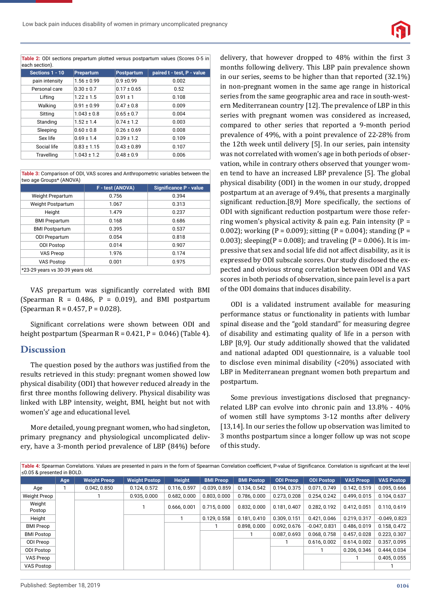

**Table 2:** ODI sections prepartum plotted versus postpartum values (Scores 0-5 in each section).

| Sections 1 - 10 | Prepartum       | <b>Postpartum</b> | paired t - test, P - value |
|-----------------|-----------------|-------------------|----------------------------|
| pain intensity  | $1.56 \pm 0.99$ | $0.9 + 0.99$      | 0.002                      |
| Personal care   | $0.30 \pm 0.7$  | $0.17 \pm 0.65$   | 0.52                       |
| Lifting         | $1.22 \pm 1.5$  | $0.91 \pm 1$      | 0.108                      |
| Walking         | $0.91 \pm 0.99$ | $0.47 \pm 0.8$    | 0.009                      |
| Sitting         | $1.043 \pm 0.8$ | $0.65 \pm 0.7$    | 0.004                      |
| Standing        | $1.52 \pm 1.4$  | $0.74 \pm 1.2$    | 0.003                      |
| Sleeping        | $0.60 \pm 0.8$  | $0.26 \pm 0.69$   | 0.008                      |
| Sex life        | $0.69 \pm 1.4$  | $0.39 \pm 1.2$    | 0.109                      |
| Social life     | $0.83 \pm 1.15$ | $0.43 \pm 0.89$   | 0.107                      |
| Travelling      | $1.043 \pm 1.2$ | $0.48 \pm 0.9$    | 0.006                      |

**Table 3:** Comparison of ODI, VAS scores and Anthropometric variables between the two age Groups\* (ANOVA)

|                                  | F - test (ANOVA) | <b>Significance P - value</b> |  |  |
|----------------------------------|------------------|-------------------------------|--|--|
| Weight Prepartum                 | 0.756            | 0.394                         |  |  |
| Weight Postpartum                | 1.067            | 0.313                         |  |  |
| Height                           | 1.479            | 0.237                         |  |  |
| <b>BMI Prepartum</b>             | 0.168            | 0.686                         |  |  |
| <b>BMI Postpartum</b>            | 0.395            | 0.537                         |  |  |
| <b>ODI Prepartum</b>             | 0.054            | 0.818                         |  |  |
| <b>ODI Postop</b>                | 0.014            | 0.907                         |  |  |
| <b>VAS Preop</b>                 | 1.976            | 0.174                         |  |  |
| <b>VAS Postop</b>                | 0.001            | 0.975                         |  |  |
| *23-29 years vs 30-39 years old. |                  |                               |  |  |

VAS prepartum was significantly correlated with BMI (Spearman  $R = 0.486$ ,  $P = 0.019$ ), and BMI postpartum (Spearman R =  $0.457$ , P =  $0.028$ ).

Significant correlations were shown between ODI and height postpartum (Spearman R =  $0.421$ , P =  $0.046$ ) (Table 4).

## **Discussion**

The question posed by the authors was justified from the results retrieved in this study: pregnant women showed low physical disability (ODI) that however reduced already in the first three months following delivery. Physical disability was linked with LBP intensity, weight, BMI, height but not with women's' age and educational level.

More detailed, young pregnant women, who had singleton, primary pregnancy and physiological uncomplicated delivery, have a 3-month period prevalence of LBP (84%) before delivery, that however dropped to 48% within the first 3 months following delivery. This LBP pain prevalence shown in our series, seems to be higher than that reported (32.1%) in non-pregnant women in the same age range in historical series from the same geographic area and race in south-western Mediterranean country [12]. The prevalence of LBP in this series with pregnant women was considered as increased, compared to other series that reported a 9-month period prevalence of 49%, with a point prevalence of 22-28% from the 12th week until delivery [5]. In our series, pain intensity was not correlated with women's age in both periods of observation, while in contrary others observed that younger women tend to have an increased LBP prevalence [5]. The global physical disability (ODI) in the women in our study, dropped postpartum at an average of 9.4%, that presents a marginally significant reduction.[8,9] More specifically, the sections of ODI with significant reduction postpartum were those referring women's physical activity  $&$  pain e.g. Pain intensity (P = 0.002); working (P = 0.009); sitting (P = 0.004); standing (P = 0.003); sleeping(P = 0.008); and traveling (P = 0.006). It is impressive that sex and social life did not affect disability, as it is expressed by ODI subscale scores. Our study disclosed the expected and obvious strong correlation between ODI and VAS scores in both periods of observation, since pain level is a part of the ODI domains that induces disability.

ODI is a validated instrument available for measuring performance status or functionality in patients with lumbar spinal disease and the "gold standard" for measuring degree of disability and estimating quality of life in a person with LBP [8,9]. Our study additionally showed that the validated and national adapted ODI questionnaire, is a valuable tool to disclose even minimal disability (<20%) associated with LBP in Mediterranean pregnant women both prepartum and postpartum.

Some previous investigations disclosed that pregnancyrelated LBP can evolve into chronic pain and 13.8% - 40% of women still have symptoms 3-12 months after delivery [13,14]. In our series the follow up observation was limited to 3 months postpartum since a longer follow up was not scope of this study.

| Table 4: Spearman Correlations. Values are presented in pairs in the form of Spearman Correlation coefficient, P-value of Significance. Correlation is significant at the level<br>≤0.05 & presented in BOLD. |     |                     |                      |               |                  |                   |                  |                   |                  |                   |
|---------------------------------------------------------------------------------------------------------------------------------------------------------------------------------------------------------------|-----|---------------------|----------------------|---------------|------------------|-------------------|------------------|-------------------|------------------|-------------------|
|                                                                                                                                                                                                               | Age | <b>Weight Preop</b> | <b>Weight Postop</b> | <b>Height</b> | <b>BMI Preop</b> | <b>BMI Postop</b> | <b>ODI Preop</b> | <b>ODI Postop</b> | <b>VAS Preop</b> | <b>VAS Postop</b> |
| Age                                                                                                                                                                                                           |     | 0.042, 0.850        | 0.124, 0.572         | 0.116, 0.597  | $-0.039, 0.859$  | 0.134, 0.542      | 0.194, 0.375     | 0.071, 0.749      | 0.142.0.519      | 0.095, 0.666      |
| Weight Preop                                                                                                                                                                                                  |     |                     | 0.935, 0.000         | 0.682.0.000   | 0.803.0.000      | 0.786, 0.000      | 0.273.0.208      | 0.254, 0.242      | 0.499.0.015      | 0.104.0.637       |
| Weight<br>Postop                                                                                                                                                                                              |     |                     |                      | 0.666, 0.001  | 0.715.0.000      | 0.832, 0.000      | 0.181.0.407      | 0.282, 0.192      | 0.412.0.051      | 0.110.0.619       |
| Height                                                                                                                                                                                                        |     |                     |                      |               | 0.129, 0.558     | 0.181.0.410       | 0.309.0.151      | 0.421.0.046       | 0.219.0.317      | $-0.049, 0.823$   |
| <b>BMI Preop</b>                                                                                                                                                                                              |     |                     |                      |               |                  | 0.898, 0.000      | 0.092, 0.676     | $-0.047, 0.831$   | 0.486, 0.019     | 0.158, 0.472      |
| <b>BMI Postop</b>                                                                                                                                                                                             |     |                     |                      |               |                  |                   | 0.087, 0.693     | 0.068, 0.758      | 0.457, 0.028     | 0.223, 0.307      |
| ODI Preop                                                                                                                                                                                                     |     |                     |                      |               |                  |                   |                  | 0.616, 0.002      | 0.614, 0.002     | 0.357, 0.095      |
| ODI Postop                                                                                                                                                                                                    |     |                     |                      |               |                  |                   |                  |                   | 0.206, 0.346     | 0.444, 0.034      |
| VAS Preop                                                                                                                                                                                                     |     |                     |                      |               |                  |                   |                  |                   |                  | 0.405, 0.055      |
| VAS Postop                                                                                                                                                                                                    |     |                     |                      |               |                  |                   |                  |                   |                  |                   |

Table 4: Spearman Correlations. Values are presented in pairs in the form of Spearman Correlation coefficient, P-value of Significance. Correlation is significant at the level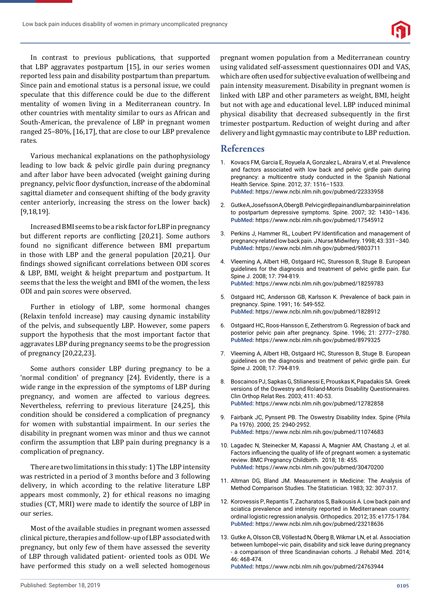Low back pain induces disability of women in primary uncomplicated pregnancy



In contrast to previous publications, that supported that LBP aggravates postpartum [15], in our series women reported less pain and disability postpartum than prepartum. Since pain and emotional status is a personal issue, we could speculate that this difference could be due to the different mentality of women living in a Mediterranean country. In other countries with mentality similar to ours as African and South-American, the prevalence of LBP in pregnant women ranged 25–80%, [16,17], that are close to our LBP prevalence rates.

Various mechanical explanations on the pathophysiology leading to low back & pelvic girdle pain during pregnancy and after labor have been advocated (weight gaining during pregnancy, pelvic floor dysfunction, increase of the abdominal sagittal diameter and consequent shifting of the body gravity center anteriorly, increasing the stress on the lower back) [9,18,19].

Increased BMI seems to be a risk factor for LBP in pregnancy but different reports are conflicting [20,21]. Some authors found no significant difference between BMI prepartum in those with LBP and the general population [20,21]. Our findings showed significant correlations between ODI scores & LBP, BMI, weight & height prepartum and postpartum. It seems that the less the weight and BMI of the women, the less ODI and pain scores were observed.

Further in etiology of LBP, some hormonal changes (Relaxin tenfold increase) may causing dynamic instability of the pelvis, and subsequently LBP. However, some papers support the hypothesis that the most important factor that aggravates LBP during pregnancy seems to be the progression of pregnancy [20,22,23].

Some authors consider LBP during pregnancy to be a 'normal condition' of pregnancy [24]. Evidently, there is a wide range in the expression of the symptoms of LBP during pregnancy, and women are affected to various degrees. Nevertheless, referring to previous literature [24,25], this condition should be considered a complication of pregnancy for women with substantial impairment. In our series the disability in pregnant women was minor and thus we cannot confirm the assumption that LBP pain during pregnancy is a complication of pregnancy.

There are two limitations in this study: 1) The LBP intensity was restricted in a period of 3 months before and 3 following delivery, in which according to the relative literature LBP appears most commonly, 2) for ethical reasons no imaging studies (CT, MRI) were made to identify the source of LBP in our series.

Most of the available studies in pregnant women assessed clinical picture, therapies and follow-up of LBP associated with pregnancy, but only few of them have assessed the severity of LBP through validated patient- oriented tools as ODI. We have performed this study on a well selected homogenous

pregnant women population from a Mediterranean country using validated self-assessment questionnaires ODI and VAS, which are often used for subjective evaluation of wellbeing and pain intensity measurement. Disability in pregnant women is linked with LBP and other parameters as weight, BMI, height but not with age and educational level. LBP induced minimal physical disability that decreased subsequently in the first trimester postpartum. Reduction of weight during and after delivery and light gymnastic may contribute to LBP reduction.

# **References**

- 1. Kovacs FM, Garcia E, Royuela A, Gonzalez L, Abraira V, et al. Prevalence and factors associated with low back and pelvic girdle pain during pregnancy: a multicentre study conducted in the Spanish National Health Service. Spine. 2012; 37: 1516–1533. **PubMed:** https://www.ncbi.nlm.nih.gov/pubmed/22333958
- 2. Gutke A, Josefsson A, Oberg B. Pelvic girdle pain and lumbar pain in relation to postpartum depressive symptoms. Spine. 2007; 32: 1430–1436. **PubMed:** https://www.ncbi.nlm.nih.gov/pubmed/17545912
- 3. Perkins J, Hammer RL, Loubert PV.Identification and management of pregnancy-related low back pain. J Nurse Midwifery. 1998; 43: 331–340. **PubMed:** https://www.ncbi.nlm.nih.gov/pubmed/9803711
- 4. Vleeming A, Albert HB, Ostgaard HC, Sturesson B, Stuge B. European guidelines for the diagnosis and treatment of pelvic girdle pain. Eur Spine J. 2008; 17: 794-819. **PubMed:** https://www.ncbi.nlm.nih.gov/pubmed/18259783
- 5. Ostgaard HC, Andersson GB, Karlsson K. Prevalence of back pain in pregnancy. Spine. 1991; 16: 549-552. **PubMed:** https://www.ncbi.nlm.nih.gov/pubmed/1828912
- 6. Ostgaard HC, Roos-Hansson E, Zetherstrom G. Regression of back and posterior pelvic pain after pregnancy. Spine. 1996; 21: 2777–2780. **PubMed:** https://www.ncbi.nlm.nih.gov/pubmed/8979325
- 7. Vleeming A, Albert HB, Ostgaard HC, Sturesson B, Stuge B. European guidelines on the diagnosis and treatment of pelvic girdle pain. Eur Spine J. 2008; 17: 794-819.
- 8. Boscainos PJ, Sapkas G, Stilianessi E, Prouskas K, Papadakis SA. Greek versions of the Oswestry and Roland-Morris Disability Questionnaires. Clin Orthop Relat Res. 2003; 411: 40-53. **PubMed:** https://www.ncbi.nlm.nih.gov/pubmed/12782858
- 9. Fairbank JC, Pynsent PB. The Oswestry Disability Index. Spine (Phila Pa 1976). 2000; 25: 2940-2952. **PubMed:** https://www.ncbi.nlm.nih.gov/pubmed/11074683
- 10. Lagadec N, Steinecker M, Kapassi A, Magnier AM, Chastang J, et al. Factors influencing the quality of life of pregnant women: a systematic review. BMC Pregnancy Childbirth. 2018; 18: 455. **PubMed:** https://www.ncbi.nlm.nih.gov/pubmed/30470200
- 11. Altman DG, Bland JM. Measurement in Medicine: The Analysis of Method Comparison Studies. The Statistician. 1983; 32: 307-317.
- 12. Korovessis P, Repantis T, Zacharatos S, Baikousis A. Low back pain and sciatica prevalence and intensity reported in Mediterranean country: ordinal logistic regression analysis. Orthopedics. 2012; 35: e1775-1784. **PubMed:** https://www.ncbi.nlm.nih.gov/pubmed/23218636
- 13. Gutke A, Olsson CB, Völlestad N, Öberg B, Wikmar LN, et al. Association between lumbopel-vic pain, disability and sick leave during pregnancy - a comparison of three Scandinavian cohorts. J Rehabil Med. 2014; 46: 468-474.

**PubMed:** https://www.ncbi.nlm.nih.gov/pubmed/24763944